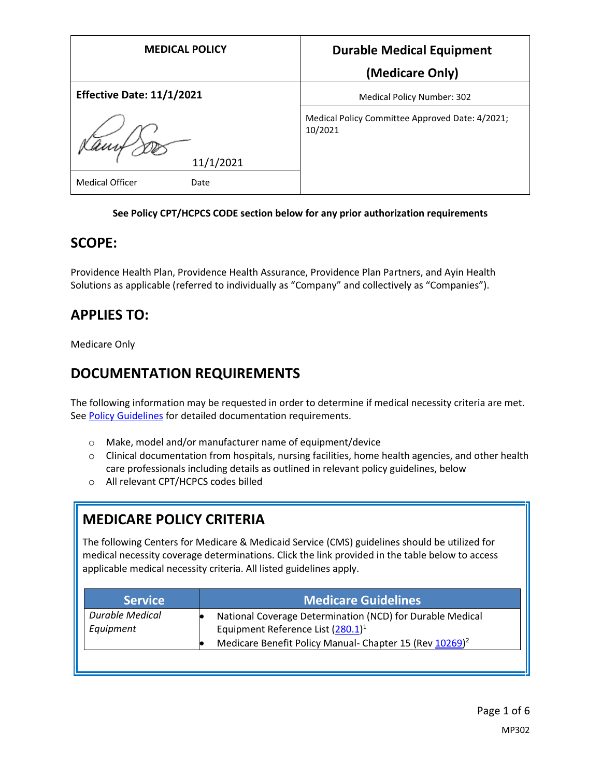| <b>MEDICAL POLICY</b>            | <b>Durable Medical Equipment</b>                           |
|----------------------------------|------------------------------------------------------------|
|                                  | (Medicare Only)                                            |
| <b>Effective Date: 11/1/2021</b> | <b>Medical Policy Number: 302</b>                          |
| 11/1/2021                        | Medical Policy Committee Approved Date: 4/2021;<br>10/2021 |
| <b>Medical Officer</b><br>Date   |                                                            |

#### **See Policy CPT/HCPCS CODE section below for any prior authorization requirements**

### **SCOPE:**

Providence Health Plan, Providence Health Assurance, Providence Plan Partners, and Ayin Health Solutions as applicable (referred to individually as "Company" and collectively as "Companies").

# **APPLIES TO:**

Medicare Only

# **DOCUMENTATION REQUIREMENTS**

The following information may be requested in order to determine if medical necessity criteria are met. See Policy Guidelines for detailed documentation requirements.

- o Make, model and/or manufacturer name of equipment/device
- $\circ$  Clinical documentation from hospitals, nursing facilities, home health agencies, and other health care professionals including details as outlined in relevant policy guidelines, below
- o All relevant CPT/HCPCS codes billed

# **MEDICARE POLICY CRITERIA**

The following Centers for Medicare & Medicaid Service (CMS) guidelines should be utilized for medical necessity coverage determinations. Click the link provided in the table below to access applicable medical necessity criteria. All listed guidelines apply.

| <b>Service</b>               | <b>Medicare Guidelines</b>                                                                        |
|------------------------------|---------------------------------------------------------------------------------------------------|
| Durable Medical<br>Equipment | National Coverage Determination (NCD) for Durable Medical<br>Equipment Reference List $(280.1)^1$ |
|                              | Medicare Benefit Policy Manual- Chapter 15 (Rev 10269) <sup>2</sup>                               |
|                              |                                                                                                   |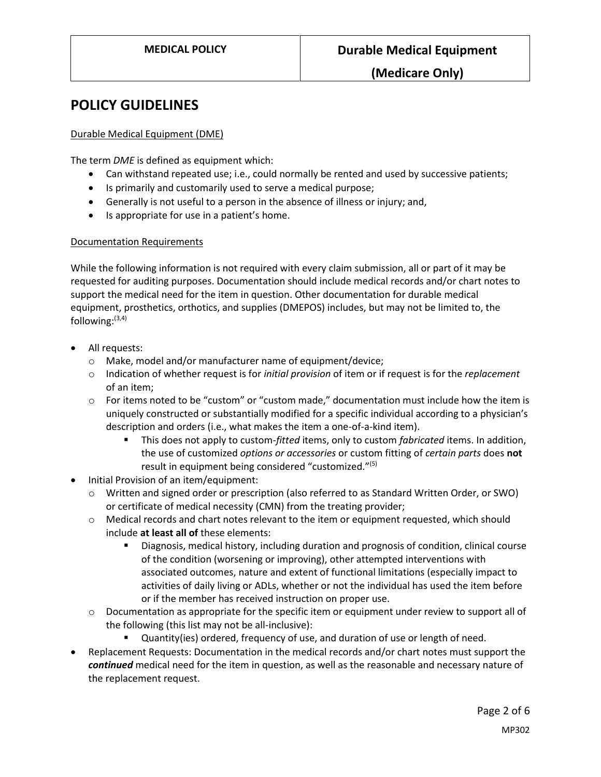### **POLICY GUIDELINES**

#### Durable Medical Equipment (DME)

The term *DME* is defined as equipment which:

- Can withstand repeated use; i.e., could normally be rented and used by successive patients;
- Is primarily and customarily used to serve a medical purpose;
- Generally is not useful to a person in the absence of illness or injury; and,
- Is appropriate for use in a patient's home.

#### Documentation Requirements

While the following information is not required with every claim submission, all or part of it may be requested for auditing purposes. Documentation should include medical records and/or chart notes to support the medical need for the item in question. Other documentation for durable medical equipment, prosthetics, orthotics, and supplies (DMEPOS) includes, but may not be limited to, the following: (3,4)

- All requests:
	- o Make, model and/or manufacturer name of equipment/device;
	- o Indication of whether request is for *initial provision* of item or if request is for the *replacement* of an item;
	- $\circ$  For items noted to be "custom" or "custom made," documentation must include how the item is uniquely constructed or substantially modified for a specific individual according to a physician's description and orders (i.e., what makes the item a one-of-a-kind item).
		- This does not apply to custom-*fitted* items, only to custom *fabricated* items. In addition, the use of customized *options or accessories* or custom fitting of *certain parts* does **not** result in equipment being considered "customized."(5)
- Initial Provision of an item/equipment:
	- o Written and signed order or prescription (also referred to as Standard Written Order, or SWO) or certificate of medical necessity (CMN) from the treating provider;
	- o Medical records and chart notes relevant to the item or equipment requested, which should include **at least all of** these elements:
		- Diagnosis, medical history, including duration and prognosis of condition, clinical course of the condition (worsening or improving), other attempted interventions with associated outcomes, nature and extent of functional limitations (especially impact to activities of daily living or ADLs, whether or not the individual has used the item before or if the member has received instruction on proper use.
	- $\circ$  Documentation as appropriate for the specific item or equipment under review to support all of the following (this list may not be all-inclusive):
		- **Quantity(ies) ordered, frequency of use, and duration of use or length of need.**
- Replacement Requests: Documentation in the medical records and/or chart notes must support the *continued* medical need for the item in question, as well as the reasonable and necessary nature of the replacement request.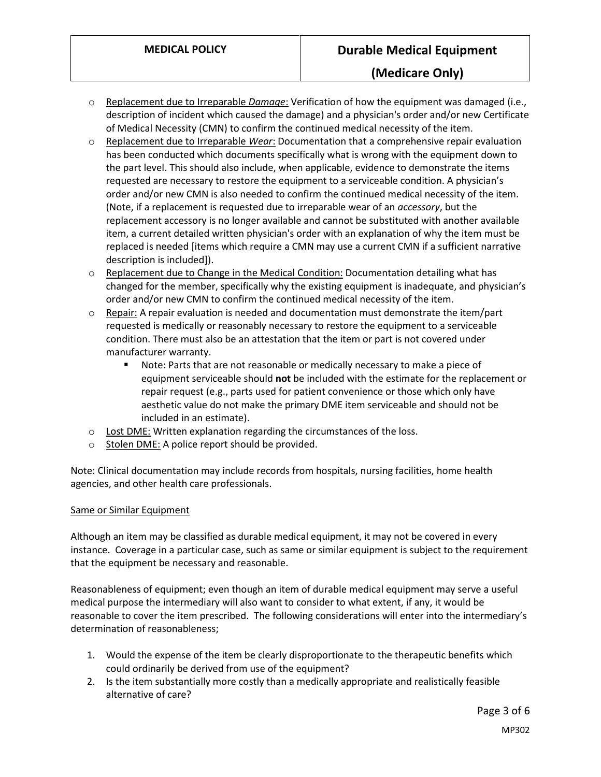- o Replacement due to Irreparable *Damage*: Verification of how the equipment was damaged (i.e., description of incident which caused the damage) and a physician's order and/or new Certificate of Medical Necessity (CMN) to confirm the continued medical necessity of the item.
- o Replacement due to Irreparable *Wear*: Documentation that a comprehensive repair evaluation has been conducted which documents specifically what is wrong with the equipment down to the part level. This should also include, when applicable, evidence to demonstrate the items requested are necessary to restore the equipment to a serviceable condition. A physician's order and/or new CMN is also needed to confirm the continued medical necessity of the item. (Note, if a replacement is requested due to irreparable wear of an *accessory*, but the replacement accessory is no longer available and cannot be substituted with another available item, a current detailed written physician's order with an explanation of why the item must be replaced is needed [items which require a CMN may use a current CMN if a sufficient narrative description is included]).
- $\circ$  Replacement due to Change in the Medical Condition: Documentation detailing what has changed for the member, specifically why the existing equipment is inadequate, and physician's order and/or new CMN to confirm the continued medical necessity of the item.
- $\circ$  Repair: A repair evaluation is needed and documentation must demonstrate the item/part requested is medically or reasonably necessary to restore the equipment to a serviceable condition. There must also be an attestation that the item or part is not covered under manufacturer warranty.
	- **Note: Parts that are not reasonable or medically necessary to make a piece of** equipment serviceable should **not** be included with the estimate for the replacement or repair request (e.g., parts used for patient convenience or those which only have aesthetic value do not make the primary DME item serviceable and should not be included in an estimate).
- o Lost DME: Written explanation regarding the circumstances of the loss.
- $\circ$  Stolen DME: A police report should be provided.

Note: Clinical documentation may include records from hospitals, nursing facilities, home health agencies, and other health care professionals.

#### Same or Similar Equipment

Although an item may be classified as durable medical equipment, it may not be covered in every instance. Coverage in a particular case, such as same or similar equipment is subject to the requirement that the equipment be necessary and reasonable.

Reasonableness of equipment; even though an item of durable medical equipment may serve a useful medical purpose the intermediary will also want to consider to what extent, if any, it would be reasonable to cover the item prescribed. The following considerations will enter into the intermediary's determination of reasonableness;

- 1. Would the expense of the item be clearly disproportionate to the therapeutic benefits which could ordinarily be derived from use of the equipment?
- 2. Is the item substantially more costly than a medically appropriate and realistically feasible alternative of care?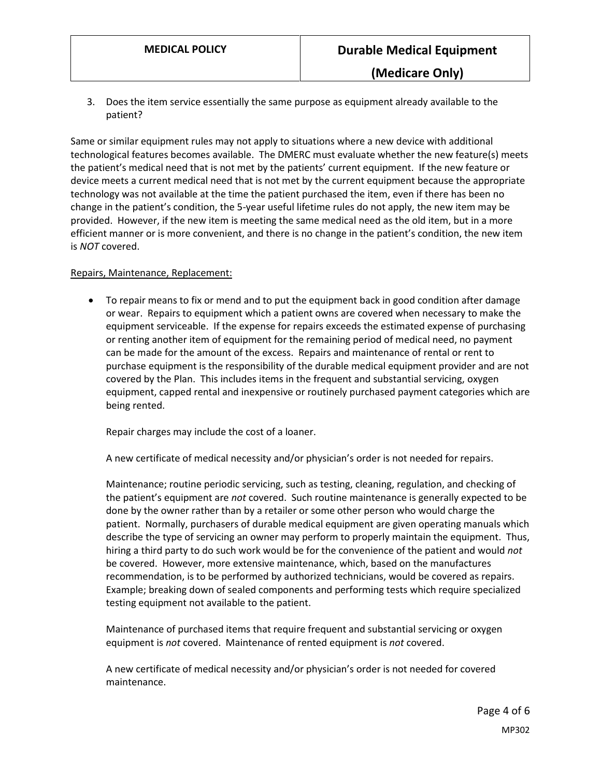3. Does the item service essentially the same purpose as equipment already available to the patient?

Same or similar equipment rules may not apply to situations where a new device with additional technological features becomes available. The DMERC must evaluate whether the new feature(s) meets the patient's medical need that is not met by the patients' current equipment. If the new feature or device meets a current medical need that is not met by the current equipment because the appropriate technology was not available at the time the patient purchased the item, even if there has been no change in the patient's condition, the 5-year useful lifetime rules do not apply, the new item may be provided. However, if the new item is meeting the same medical need as the old item, but in a more efficient manner or is more convenient, and there is no change in the patient's condition, the new item is *NOT* covered.

#### Repairs, Maintenance, Replacement:

 To repair means to fix or mend and to put the equipment back in good condition after damage or wear. Repairs to equipment which a patient owns are covered when necessary to make the equipment serviceable. If the expense for repairs exceeds the estimated expense of purchasing or renting another item of equipment for the remaining period of medical need, no payment can be made for the amount of the excess. Repairs and maintenance of rental or rent to purchase equipment is the responsibility of the durable medical equipment provider and are not covered by the Plan. This includes items in the frequent and substantial servicing, oxygen equipment, capped rental and inexpensive or routinely purchased payment categories which are being rented.

Repair charges may include the cost of a loaner.

A new certificate of medical necessity and/or physician's order is not needed for repairs.

Maintenance; routine periodic servicing, such as testing, cleaning, regulation, and checking of the patient's equipment are *not* covered. Such routine maintenance is generally expected to be done by the owner rather than by a retailer or some other person who would charge the patient. Normally, purchasers of durable medical equipment are given operating manuals which describe the type of servicing an owner may perform to properly maintain the equipment. Thus, hiring a third party to do such work would be for the convenience of the patient and would *not* be covered. However, more extensive maintenance, which, based on the manufactures recommendation, is to be performed by authorized technicians, would be covered as repairs. Example; breaking down of sealed components and performing tests which require specialized testing equipment not available to the patient.

Maintenance of purchased items that require frequent and substantial servicing or oxygen equipment is *not* covered. Maintenance of rented equipment is *not* covered.

A new certificate of medical necessity and/or physician's order is not needed for covered maintenance.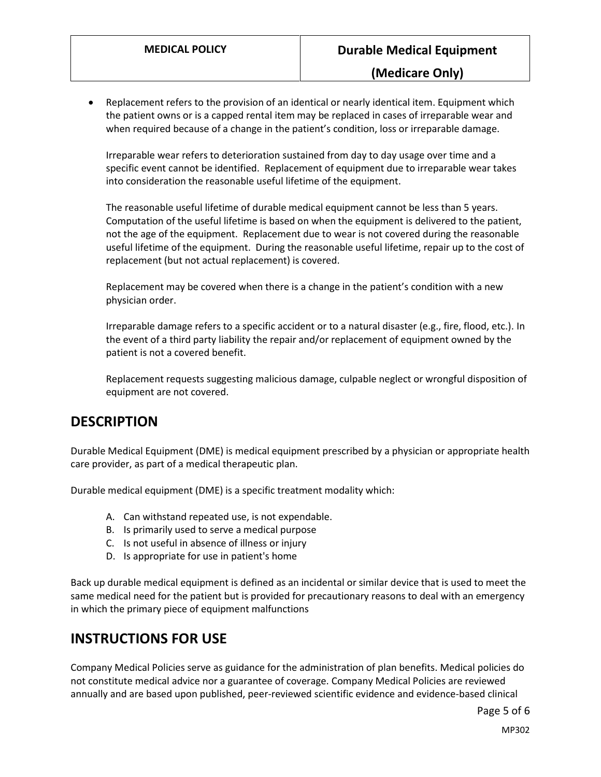Replacement refers to the provision of an identical or nearly identical item. Equipment which the patient owns or is a capped rental item may be replaced in cases of irreparable wear and when required because of a change in the patient's condition, loss or irreparable damage.

Irreparable wear refers to deterioration sustained from day to day usage over time and a specific event cannot be identified. Replacement of equipment due to irreparable wear takes into consideration the reasonable useful lifetime of the equipment.

The reasonable useful lifetime of durable medical equipment cannot be less than 5 years. Computation of the useful lifetime is based on when the equipment is delivered to the patient, not the age of the equipment. Replacement due to wear is not covered during the reasonable useful lifetime of the equipment. During the reasonable useful lifetime, repair up to the cost of replacement (but not actual replacement) is covered.

Replacement may be covered when there is a change in the patient's condition with a new physician order.

Irreparable damage refers to a specific accident or to a natural disaster (e.g., fire, flood, etc.). In the event of a third party liability the repair and/or replacement of equipment owned by the patient is not a covered benefit.

Replacement requests suggesting malicious damage, culpable neglect or wrongful disposition of equipment are not covered.

### **DESCRIPTION**

Durable Medical Equipment (DME) is medical equipment prescribed by a physician or appropriate health care provider, as part of a medical therapeutic plan.

Durable medical equipment (DME) is a specific treatment modality which:

- A. Can withstand repeated use, is not expendable.
- B. Is primarily used to serve a medical purpose
- C. Is not useful in absence of illness or injury
- D. Is appropriate for use in patient's home

Back up durable medical equipment is defined as an incidental or similar device that is used to meet the same medical need for the patient but is provided for precautionary reasons to deal with an emergency in which the primary piece of equipment malfunctions

### **INSTRUCTIONS FOR USE**

Company Medical Policies serve as guidance for the administration of plan benefits. Medical policies do not constitute medical advice nor a guarantee of coverage. Company Medical Policies are reviewed annually and are based upon published, peer-reviewed scientific evidence and evidence-based clinical

Page 5 of 6